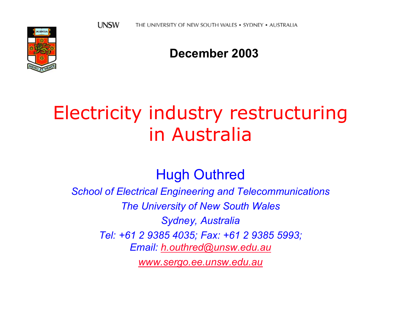

#### **December 2003**

## Electricity industry restructuring in Australia

Hugh Outhred

*School of Electrical Engineering and Telecommunications*

*The University of New South Wales*

*Sydney, Australia*

*Tel: +61 2 9385 4035; Fax: +61 2 9385 5993;* 

*Email: [h.outhred@unsw.edu.au](mailto:h.outhred@unsw.edu.au)*

*[www.sergo.ee.unsw.edu.au](http://www.sergo.ee.unsw.edu.au/)*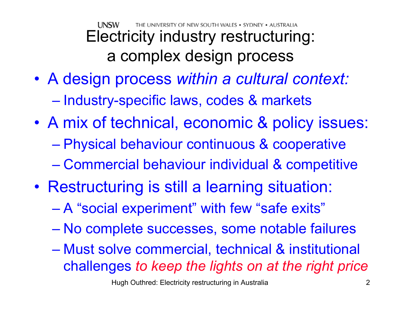UNSW THE UNIVERSITY OF NEW SOUTH WALES • SYDNEY • AUSTRALIA Electricity industry restructuring: a complex design process

- A design process *within a cultural context:*  $\mathcal{L}_{\mathcal{A}}$ – Industry-specific laws, codes & markets
- $\bullet$  A mix of technical, economic & policy issues:  $\mathcal{L}_{\mathcal{A}}$  , and the set of the set of the set of the set of the set of the set of the set of the set of the set of the set of the set of the set of the set of the set of the set of the set of the set of the set of th Physical behaviour continuous & cooperative  $\mathcal{L}_{\mathcal{A}}$ Commercial behaviour individual & competitive
- Restructuring is still a learning situation:
	- A "social experiment" with few "safe exits"
	- $\mathcal{L}_{\mathcal{A}}$  , and the set of the set of the set of the set of the set of the set of the set of the set of the set of the set of the set of the set of the set of the set of the set of the set of the set of the set of th No complete successes, some notable failures
	- $\mathcal{L}_{\mathcal{A}}$  , and the set of the set of the set of the set of the set of the set of the set of the set of the set of the set of the set of the set of the set of the set of the set of the set of the set of the set of th Must solve commercial, technical & institutional challenges *to keep the lights on at the right price*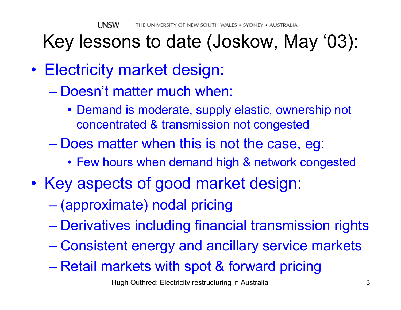## Key lessons to date (Joskow, May '03):

- Electricity market design:
	- Doesn't matter much when:
		- Demand is moderate, supply elastic, ownership not concentrated & transmission not congested
	- $\mathcal{L}_{\mathcal{A}}$  , and the set of the set of the set of the set of the set of the set of the set of the set of the set of the set of the set of the set of the set of the set of the set of the set of the set of the set of th – Does matter when this is not the case, eg:
		- Few hours when demand high & network congested
- $\bullet$ • Key aspects of good market design:
	- (approximate) nodal pricing
	- Derivatives including financial transmission rights
	- –Consistent energy and ancillary service markets
	- $\mathcal{L}_{\mathcal{A}}$  , and the set of the set of the set of the set of the set of the set of the set of the set of the set of the set of the set of the set of the set of the set of the set of the set of the set of the set of th – Retail markets with spot & forward pricing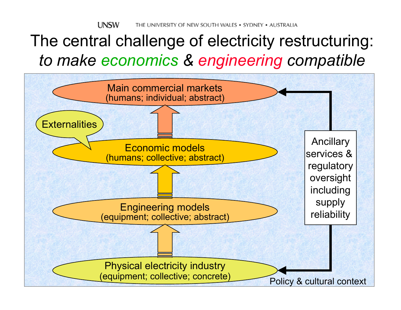#### The central challenge of electricity restructuring: *to make economics & engineering compatible*

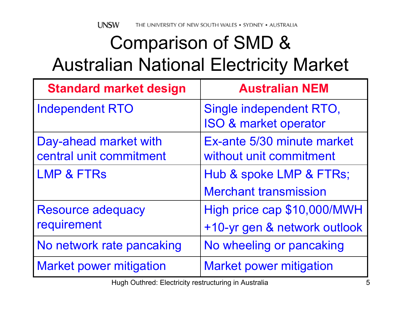## Comparison of SMD & Australian National Electricity Market

| <b>Standard market design</b>                    | <b>Australian NEM</b>                                       |
|--------------------------------------------------|-------------------------------------------------------------|
| <b>Independent RTO</b>                           | Single independent RTO,<br><b>ISO &amp; market operator</b> |
| Day-ahead market with<br>central unit commitment | Ex-ante 5/30 minute market<br>without unit commitment       |
| <b>LMP &amp; FTRS</b>                            | Hub & spoke LMP & FTRs;                                     |
|                                                  | <b>Merchant transmission</b>                                |
| <b>Resource adequacy</b>                         | High price cap \$10,000/MWH                                 |
| requirement                                      | +10-yr gen & network outlook                                |
| No network rate pancaking                        | No wheeling or pancaking                                    |
| <b>Market power mitigation</b>                   | <b>Market power mitigation</b>                              |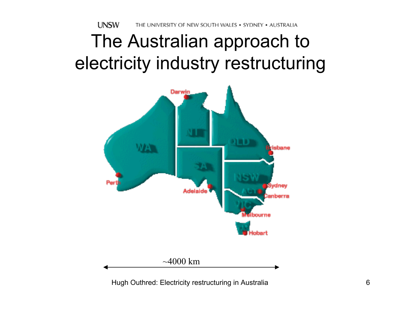## The Australian approach to electricity industry restructuring

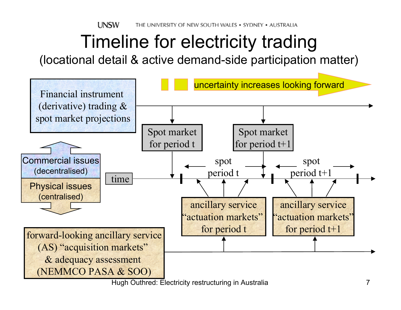**UNSW** THE UNIVERSITY OF NEW SOUTH WALES . SYDNEY . AUSTRALIA

## Timeline for electricity trading

(locational detail & active demand-side participation matter)

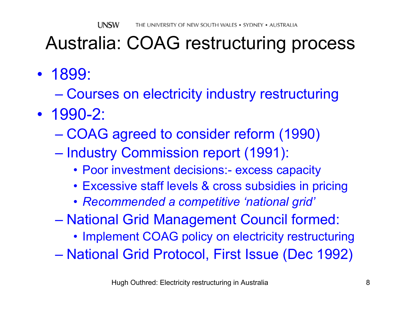## Australia: COAG restructuring process

- 1899:
	- $\mathcal{L}_{\mathcal{A}}$  , and the set of the set of the set of the set of the set of the set of the set of the set of the set of the set of the set of the set of the set of the set of the set of the set of the set of the set of th Courses on electricity industry restructuring
- 1990-2:
	- COAG agreed to consider reform (1990)
	- $\mathcal{L}_{\mathcal{A}}$ – Industry Commission report (1991):
		- Poor investment decisions:- excess capacity
		- Excessive staff levels & cross subsidies in pricing
		- *Recommended a competitive 'national grid'*
	- $\mathcal{L}_{\mathcal{A}}$  , and the set of the set of the set of the set of the set of the set of the set of the set of the set of the set of the set of the set of the set of the set of the set of the set of the set of the set of th National Grid Management Council formed:
		- Implement COAG policy on electricity restructuring
	- National Grid Protocol, First Issue (Dec 1992)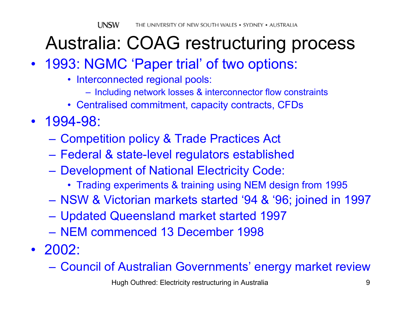## Australia: COAG restructuring process

- 1993: NGMC 'Paper trial' of two options:
	- Interconnected regional pools:
		- Including network losses & interconnector flow constraints
	- Centralised commitment, capacity contracts, CFDs
- 1994-98:
	- Competition policy & Trade Practices Act
	- Federal & state-level regulators established
	- Development of National Electricity Code:
		- Trading experiments & training using NEM design from 1995
	- $\mathcal{L}_{\mathcal{A}}$  , and the set of the set of the set of the set of the set of the set of the set of the set of the set of the set of the set of the set of the set of the set of the set of the set of the set of the set of th NSW & Victorian markets started '94 & '96; joined in 1997
	- Updated Queensland market started 1997
	- NEM commenced 13 December 1998
- 2002:
	- –Council of Australian Governments' energy market review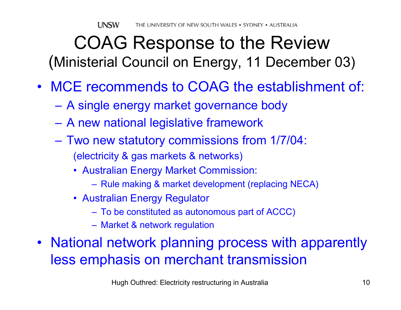### COAG Response to the Review (Ministerial Council on Energy, 11 December 03)

- MCE recommends to COAG the establishment of:
	- A single energy market governance body
	- A new national legislative framework
	- Two new statutory commissions from 1/7/04: (electricity & gas markets & networks)
		- Australian Energy Market Commission:
			- Rule making & market development (replacing NECA)
		- Australian Energy Regulator
			- To be constituted as autonomous part of ACCC)
			- Market & network regulation
- National network planning process with apparently less emphasis on merchant transmission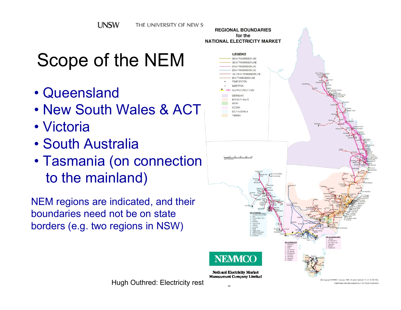# Scope of the NEM

- Queensland
- New South Wales & ACT
- Victoria
- South Australia
- Tasmania (on connection to the mainland)

NEM regions are indicated, and their boundaries need not be on state borders (e.g. two regions in NSW)



 $\text{Hugh } \text{Out}^\text{D}_{\text{Copy of the MERC} \text{ and } \text{DIGS} \text{ and } \text{DIGS} \text{ and } \text{DIGS} \text{ and } \text{DIGS} \text{ and } \text{DIGS} \text{ and } \text{DIGS} \text{ and } \text{DIGS} \text{ and } \text{DIGS} \text{ and } \text{DIGS} \text{ and } \text{DIGS} \text{ and } \text{DIGS} \text{ and } \text{DIGS} \text{ and } \text{DIGS} \text{ and } \text{DIGS} \text{ and } \text{DIGS} \text{ and } \text{DIGS} \$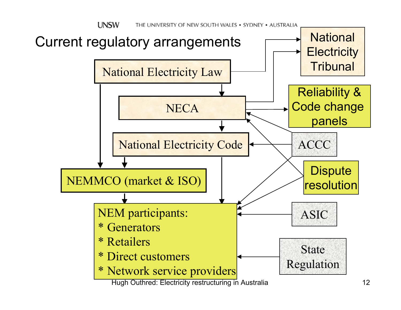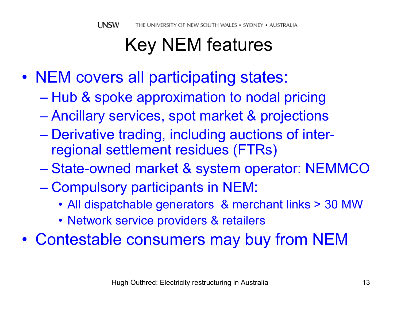# Key NEM features

- NEM covers all participating states:
	- $\mathcal{L}_{\mathcal{A}}$  , and the set of the set of the set of the set of the set of the set of the set of the set of the set of the set of the set of the set of the set of the set of the set of the set of the set of the set of th – Hub & spoke approximation to nodal pricing
	- Ancillary services, spot market & projections
	- $\mathcal{L}_{\mathcal{A}}$  , and the set of the set of the set of the set of the set of the set of the set of the set of the set of the set of the set of the set of the set of the set of the set of the set of the set of the set of th Derivative trading, including auctions of interregional settlement residues (FTRs)
	- State-owned market & system operator: NEMMCO
	- $\mathcal{L}_{\mathcal{A}}$  , and the set of the set of the set of the set of the set of the set of the set of the set of the set of the set of the set of the set of the set of the set of the set of the set of the set of the set of th – Compulsory participants in NEM:
		- All dispatchable generators & merchant links > 30 MW
		- Network service providers & retailers
- $\bullet$ Contestable consumers may buy from NEM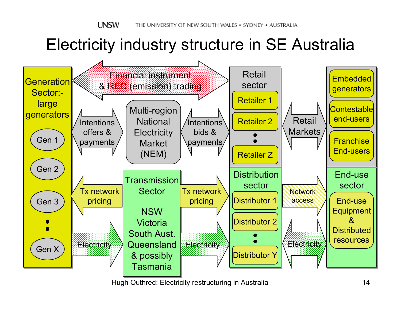**UNSW** THE UNIVERSITY OF NEW SOUTH WALES • SYDNEY • AUSTRALIA

### Electricity industry structure in SE Australia

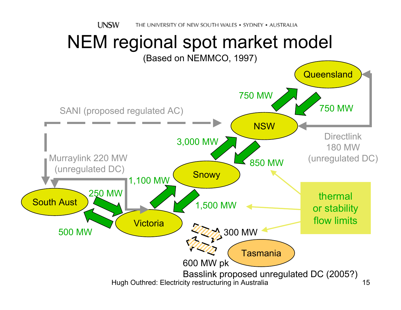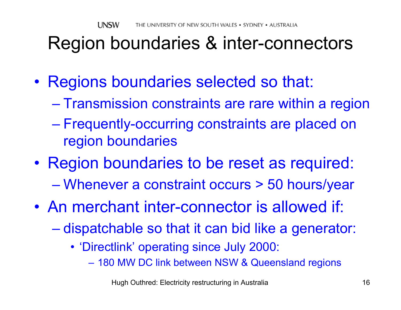## Region boundaries & inter-connectors

- Regions boundaries selected so that:
	- $\mathcal{L}_{\mathcal{A}}$ – Transmission constraints are rare within a region
	- $\mathcal{L}_{\mathcal{A}}$  , and the set of the set of the set of the set of the set of the set of the set of the set of the set of the set of the set of the set of the set of the set of the set of the set of the set of the set of th Frequently-occurring constraints are placed on region boundaries
- Region boundaries to be reset as required:  $\mathcal{L}_{\mathcal{A}}$  , and the set of the set of the set of the set of the set of the set of the set of the set of the set of the set of the set of the set of the set of the set of the set of the set of the set of the set of th Whenever a constraint occurs > 50 hours/year
- An merchant inter-connector is allowed if:
	- –– dispatchable so that it can bid like a generator:
		- 'Directlink' operating since July 2000:
			- 180 MW DC link between NSW & Queensland regions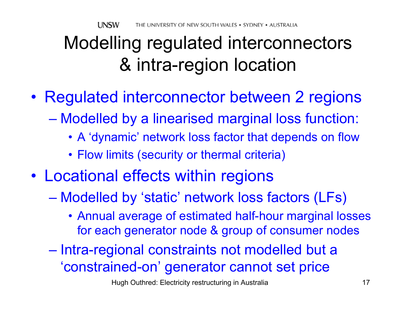## Modelling regulated interconnectors & intra-region location

- Regulated interconnector between 2 regions
	- – Modelled by a linearised marginal loss function:
		- A 'dynamic' network loss factor that depends on flow
		- Flow limits (security or thermal criteria)
- $\bullet$  Locational effects within regions
	- $\mathcal{L}_{\mathcal{A}}$  , and the set of the set of the set of the set of the set of the set of the set of the set of the set of the set of the set of the set of the set of the set of the set of the set of the set of the set of th Modelled by 'static' network loss factors (LFs)
		- Annual average of estimated half-hour marginal losses for each generator node & group of consumer nodes
	- Intra-regional constraints not modelled but a 'constrained-on' generator cannot set price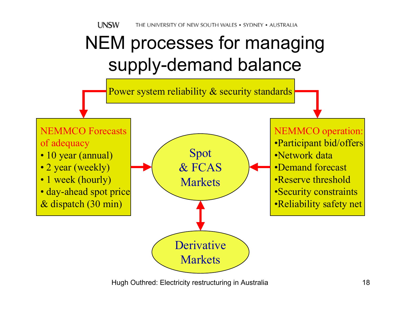## NEM processes for managing supply-demand balance

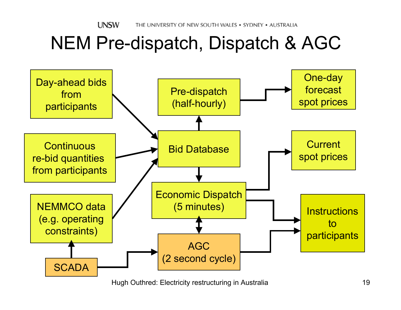## NEM Pre-dispatch, Dispatch & AGC

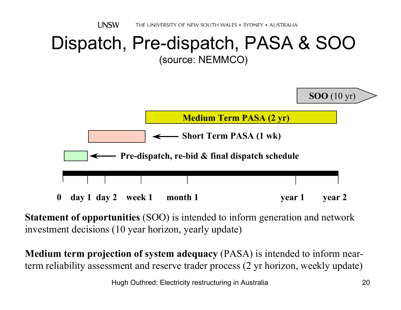

**Statement of opportunities** (SOO) is intended to inform generation and network investment decisions (10 year horizon, yearly update)

**Medium term projection of system adequacy** (PASA) is intended to inform nearterm reliability assessment and reserve trader process (2 yr horizon, weekly update)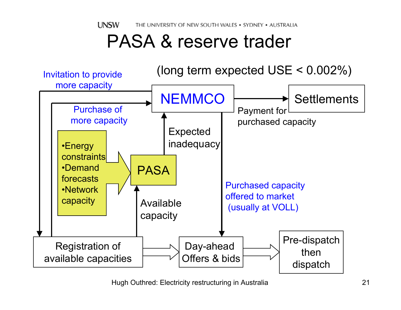**UNSW** THE UNIVERSITY OF NEW SOUTH WALES . SYDNEY . AUSTRALIA

### PASA & reserve trader

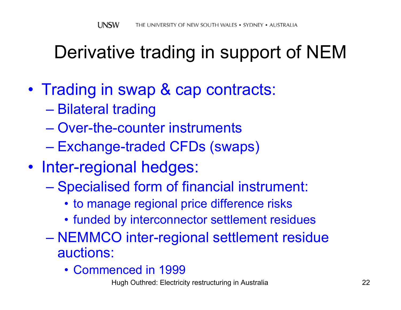## Derivative trading in support of NEM

- $\bullet$ • Trading in swap & cap contracts:
	- $\mathcal{L}_{\mathcal{A}}$  , and the set of the set of the set of the set of the set of the set of the set of the set of the set of the set of the set of the set of the set of the set of the set of the set of the set of the set of th – Bilateral trading
	- Over-the-counter instruments
	- $\mathcal{L}_{\mathcal{A}}$  , and the set of the set of the set of the set of the set of the set of the set of the set of the set of the set of the set of the set of the set of the set of the set of the set of the set of the set of th Exchange-traded CFDs (swaps)
- Inter-regional hedges:
	- Specialised form of financial instrument:
		- to manage regional price difference risks
		- funded by interconnector settlement residues
	- – NEMMCO inter-regional settlement residue auctions:
		- Commenced in 1999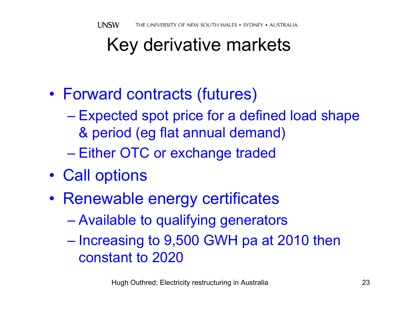## Key derivative markets

- $\bullet$  Forward contracts (futures)
	- $\mathcal{L}_{\mathcal{A}}$  Expected spot price for a defined load shape & period (eg flat annual demand)
	- Either OTC or exchange traded
- $\bullet$ • Call options
- $\bullet$ • Renewable energy certificates
	- $\mathcal{L}_{\mathcal{A}}$  , and the set of the set of the set of the set of the set of the set of the set of the set of the set of the set of the set of the set of the set of the set of the set of the set of the set of the set of th Available to qualifying generators
	- – $-$  Increasing to 9,500 GWH pa at 2010 then constant to 2020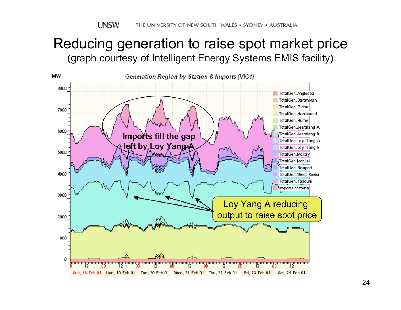#### Reducing generation to raise spot market price (graph courtesy of Intelligent Energy Systems EMIS facility)

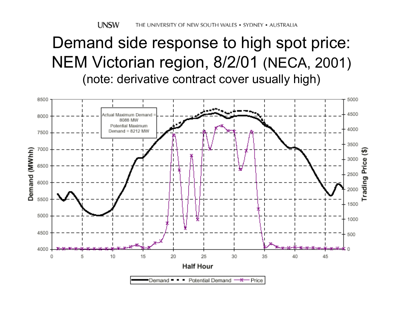**UNSW** THE UNIVERSITY OF NEW SOUTH WALES • SYDNEY • AUSTRALIA

#### Demand side response to high spot price: NEM Victorian region, 8/2/01 (NECA, 2001) (note: derivative contract cover usually high)

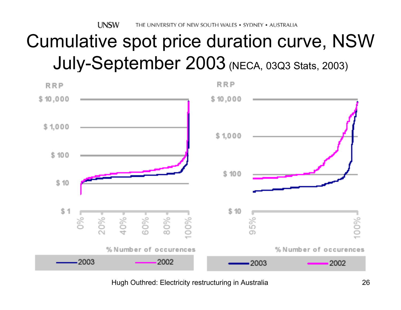## Cumulative spot price duration curve, NSW July-September 2003 (NECA, 03Q3 Stats, 2003)

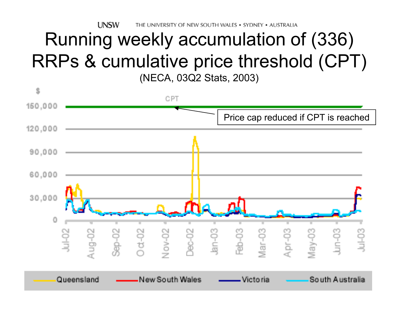**UNSW** THE UNIVERSITY OF NEW SOUTH WALES . SYDNEY . AUSTRALIA

#### Running weekly accumulation of (336) RRPs & cumulative price threshold (CPT) (NECA, 03Q2 Stats, 2003)

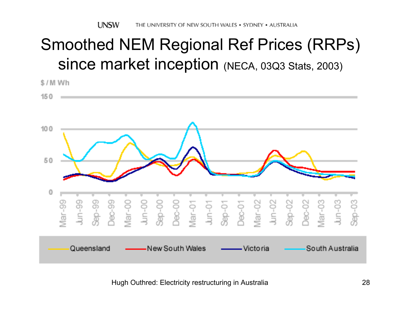### Smoothed NEM Regional Ref Prices (RRPs) since market inception (NECA, 03Q3 Stats, 2003)

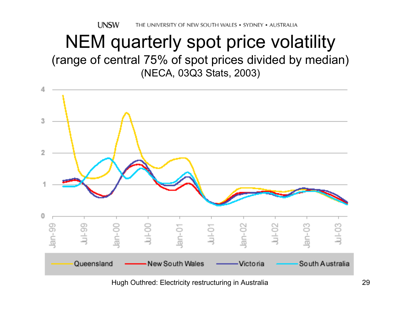#### NEM quarterly spot price volatility (range of central 75% of spot prices divided by median) (NECA, 03Q3 Stats, 2003)



Hugh Outhred: Electricity restructuring in Australia 29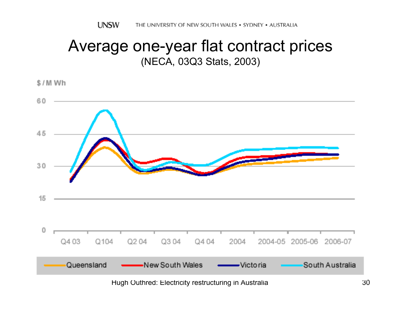#### Average one-year flat contract prices (NECA, 03Q3 Stats, 2003)

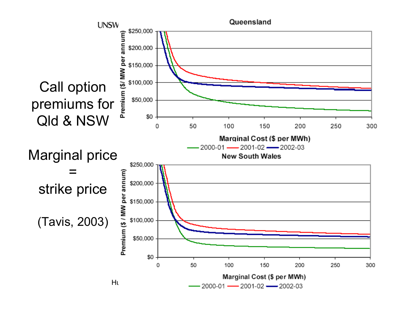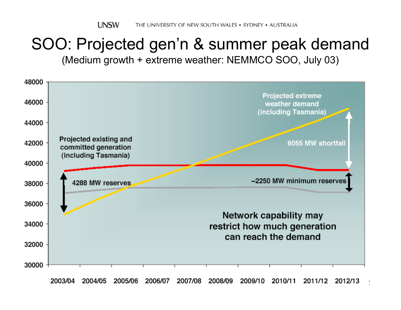# SOO: Projected gen'n & summer peak demand

(Medium growth + extreme weather: NEMMCO SOO, July 03)



2003/04 2004/05 2005/06 2006/07 2007/08 2008/09 2009/10 2010/11 2011/12 2012/13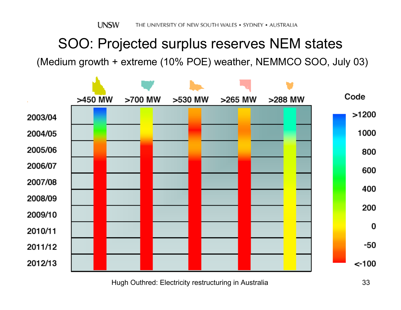#### SOO: Projected surplus reserves NEM states

(Medium growth + extreme (10% POE) weather, NEMMCO SOO, July 03)

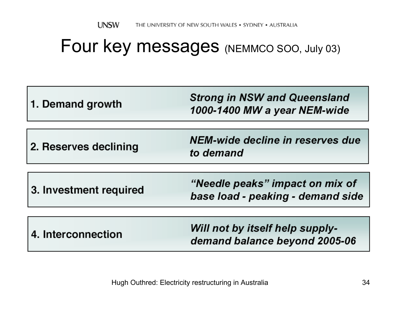#### Four key messages (NEMMCO SOO, July 03)

| 1. Demand growth       | <b>Strong in NSW and Queensland</b><br>1000-1400 MW a year NEM-wide  |
|------------------------|----------------------------------------------------------------------|
| 2. Reserves declining  | NEM-wide decline in reserves due<br>to demand                        |
| 3. Investment required | "Needle peaks" impact on mix of<br>base load - peaking - demand side |
| 4. Interconnection     | Will not by itself help supply-<br>demand balance beyond 2005-06     |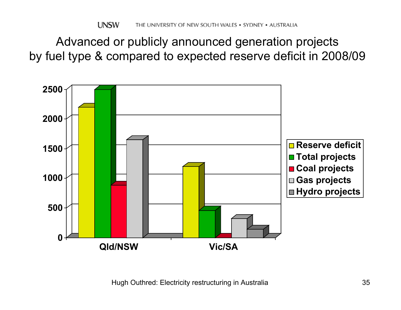Advanced or publicly announced generation projects by fuel type & compared to expected reserve deficit in 2008/09

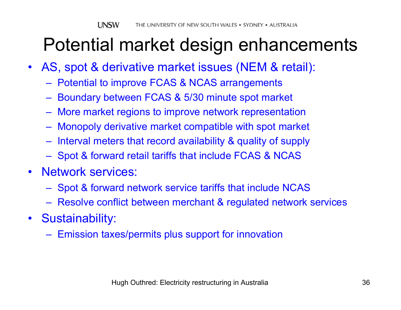## Potential market design enhancements

- AS, spot & derivative market issues (NEM & retail):
	- Potential to improve FCAS & NCAS arrangements
	- Boundary between FCAS & 5/30 minute spot market
	- More market regions to improve network representation
	- Monopoly derivative market compatible with spot market
	- Interval meters that record availability & quality of supply
	- Spot & forward retail tariffs that include FCAS & NCAS
- • Network services:
	- Spot & forward network service tariffs that include NCAS
	- Resolve conflict between merchant & regulated network services
- Sustainability:
	- Emission taxes/permits plus support for innovation